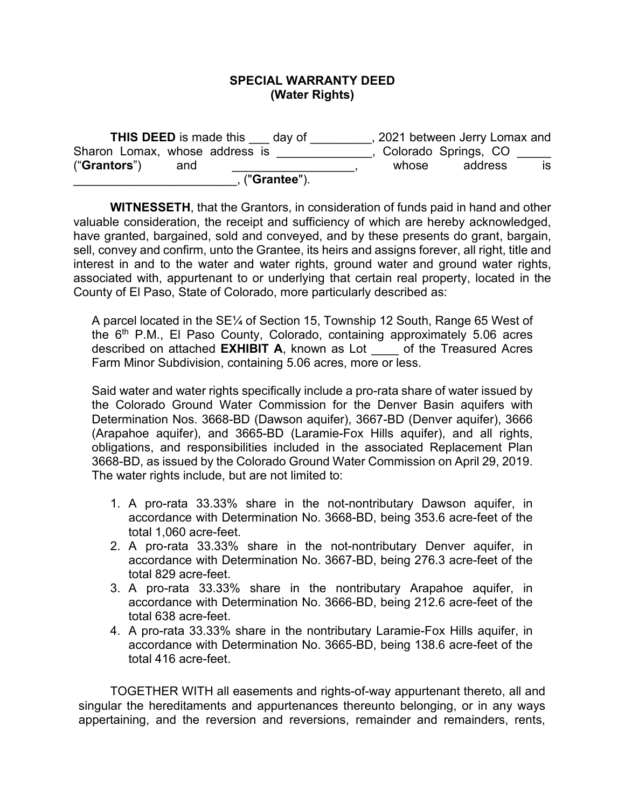## **SPECIAL WARRANTY DEED (Water Rights)**

| <b>THIS DEED is made this</b><br>day of |       | 2021 between Jerry Lomax and |    |
|-----------------------------------------|-------|------------------------------|----|
| Sharon Lomax, whose address is          |       | Colorado Springs, CO         |    |
| ("Grantors")<br>and                     | whose | address                      | IS |
| , ("Grantee").                          |       |                              |    |

**WITNESSETH**, that the Grantors, in consideration of funds paid in hand and other valuable consideration, the receipt and sufficiency of which are hereby acknowledged, have granted, bargained, sold and conveyed, and by these presents do grant, bargain, sell, convey and confirm, unto the Grantee, its heirs and assigns forever, all right, title and interest in and to the water and water rights, ground water and ground water rights, associated with, appurtenant to or underlying that certain real property, located in the County of El Paso, State of Colorado, more particularly described as:

A parcel located in the SE¼ of Section 15, Township 12 South, Range 65 West of the 6th P.M., El Paso County, Colorado, containing approximately 5.06 acres described on attached **EXHIBIT A**, known as Lot \_\_\_\_ of the Treasured Acres Farm Minor Subdivision, containing 5.06 acres, more or less.

Said water and water rights specifically include a pro-rata share of water issued by the Colorado Ground Water Commission for the Denver Basin aquifers with Determination Nos. 3668-BD (Dawson aquifer), 3667-BD (Denver aquifer), 3666 (Arapahoe aquifer), and 3665-BD (Laramie-Fox Hills aquifer), and all rights, obligations, and responsibilities included in the associated Replacement Plan 3668-BD, as issued by the Colorado Ground Water Commission on April 29, 2019. The water rights include, but are not limited to:

- 1. A pro-rata 33.33% share in the not-nontributary Dawson aquifer, in accordance with Determination No. 3668-BD, being 353.6 acre-feet of the total 1,060 acre-feet.
- 2. A pro-rata 33.33% share in the not-nontributary Denver aquifer, in accordance with Determination No. 3667-BD, being 276.3 acre-feet of the total 829 acre-feet.
- 3. A pro-rata 33.33% share in the nontributary Arapahoe aquifer, in accordance with Determination No. 3666-BD, being 212.6 acre-feet of the total 638 acre-feet.
- 4. A pro-rata 33.33% share in the nontributary Laramie-Fox Hills aquifer, in accordance with Determination No. 3665-BD, being 138.6 acre-feet of the total 416 acre-feet.

TOGETHER WITH all easements and rights-of-way appurtenant thereto, all and singular the hereditaments and appurtenances thereunto belonging, or in any ways appertaining, and the reversion and reversions, remainder and remainders, rents,